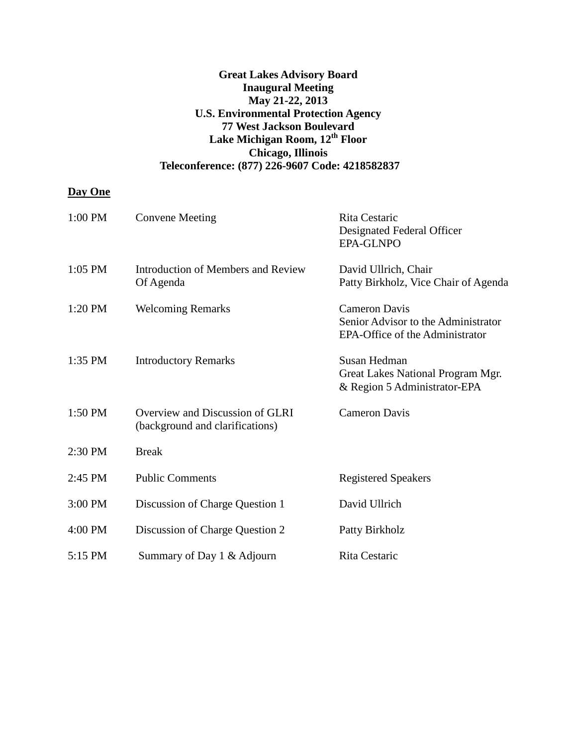## **Great Lakes Advisory Board Inaugural Meeting May 21-22, 2013 U.S. Environmental Protection Agency 77 West Jackson Boulevard Lake Michigan Room, 12th Floor Chicago, Illinois Teleconference: (877) 226-9607 Code: 4218582837**

## **Day One**

| 1:00 PM   | <b>Convene Meeting</b>                                             | <b>Rita Cestaric</b><br>Designated Federal Officer<br><b>EPA-GLNPO</b>                         |
|-----------|--------------------------------------------------------------------|------------------------------------------------------------------------------------------------|
| $1:05$ PM | Introduction of Members and Review<br>Of Agenda                    | David Ullrich, Chair<br>Patty Birkholz, Vice Chair of Agenda                                   |
| $1:20$ PM | <b>Welcoming Remarks</b>                                           | <b>Cameron Davis</b><br>Senior Advisor to the Administrator<br>EPA-Office of the Administrator |
| $1:35$ PM | <b>Introductory Remarks</b>                                        | Susan Hedman<br>Great Lakes National Program Mgr.<br>& Region 5 Administrator-EPA              |
| 1:50 PM   | Overview and Discussion of GLRI<br>(background and clarifications) | <b>Cameron Davis</b>                                                                           |
| 2:30 PM   | <b>Break</b>                                                       |                                                                                                |
| 2:45 PM   | <b>Public Comments</b>                                             | <b>Registered Speakers</b>                                                                     |
| 3:00 PM   | Discussion of Charge Question 1                                    | David Ullrich                                                                                  |
| 4:00 PM   | Discussion of Charge Question 2                                    | Patty Birkholz                                                                                 |
| 5:15 PM   | Summary of Day 1 & Adjourn                                         | Rita Cestaric                                                                                  |